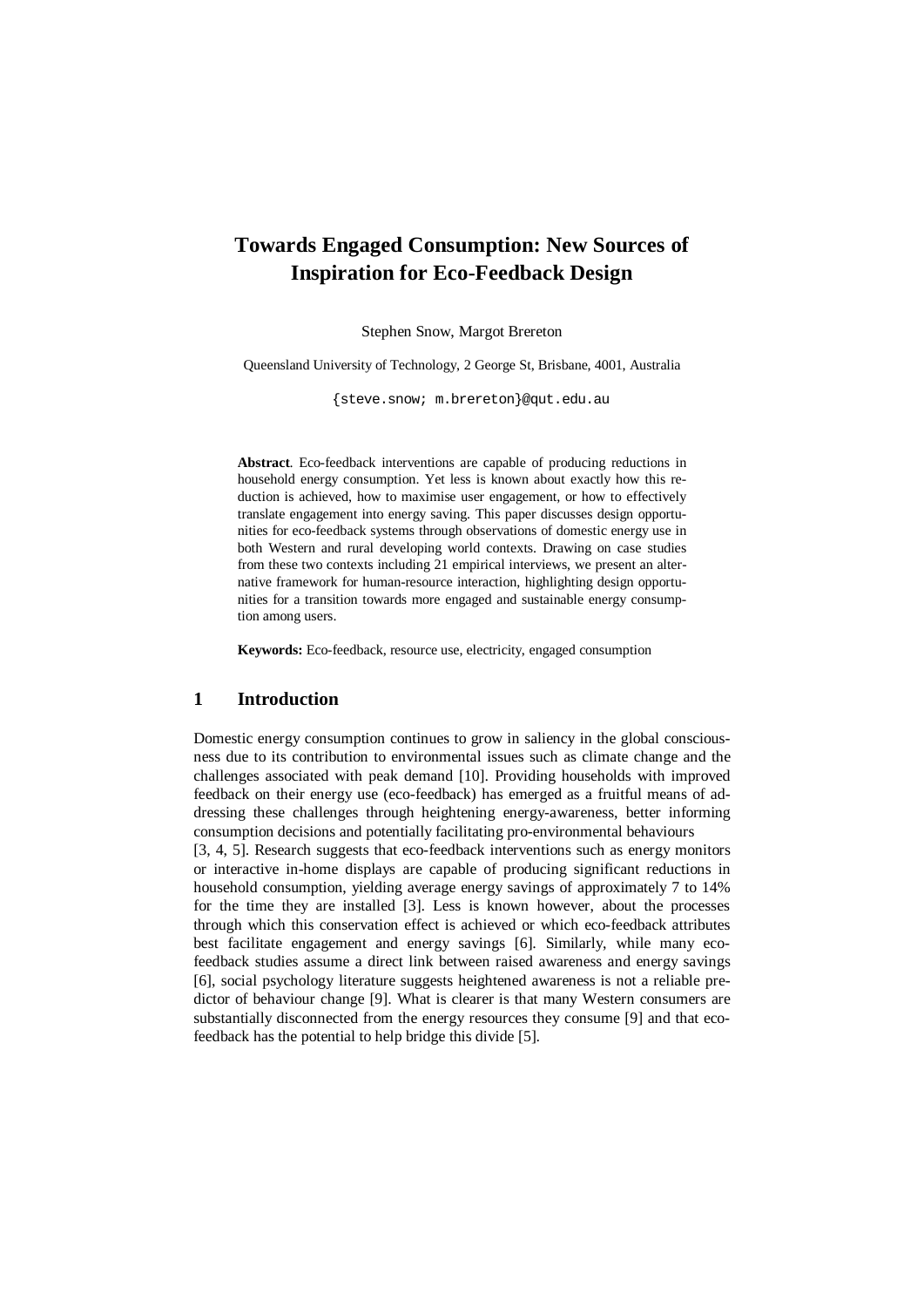# **Towards Engaged Consumption: New Sources of Inspiration for Eco-Feedback Design**

Stephen Snow, Margot Brereton

Queensland University of Technology, 2 George St, Brisbane, 4001, Australia

{steve.snow; m.brereto[n}@qut.edu.au](mailto:%7d@qut.edu.au)

**Abstract**. Eco-feedback interventions are capable of producing reductions in household energy consumption. Yet less is known about exactly how this reduction is achieved, how to maximise user engagement, or how to effectively translate engagement into energy saving. This paper discusses design opportunities for eco-feedback systems through observations of domestic energy use in both Western and rural developing world contexts. Drawing on case studies from these two contexts including 21 empirical interviews, we present an alternative framework for human-resource interaction, highlighting design opportunities for a transition towards more engaged and sustainable energy consumption among users.

**Keywords:** Eco-feedback, resource use, electricity, engaged consumption

### **1 Introduction**

Domestic energy consumption continues to grow in saliency in the global consciousness due to its contribution to environmental issues such as climate change and the challenges associated with peak demand [10]. Providing households with improved feedback on their energy use (eco-feedback) has emerged as a fruitful means of addressing these challenges through heightening energy-awareness, better informing consumption decisions and potentially facilitating pro-environmental behaviours

[3, 4, 5]. Research suggests that eco-feedback interventions such as energy monitors or interactive in-home displays are capable of producing significant reductions in household consumption, yielding average energy savings of approximately 7 to 14% for the time they are installed [3]. Less is known however, about the processes through which this conservation effect is achieved or which eco-feedback attributes best facilitate engagement and energy savings [6]. Similarly, while many ecofeedback studies assume a direct link between raised awareness and energy savings [6], social psychology literature suggests heightened awareness is not a reliable predictor of behaviour change [9]. What is clearer is that many Western consumers are substantially disconnected from the energy resources they consume [9] and that ecofeedback has the potential to help bridge this divide [5].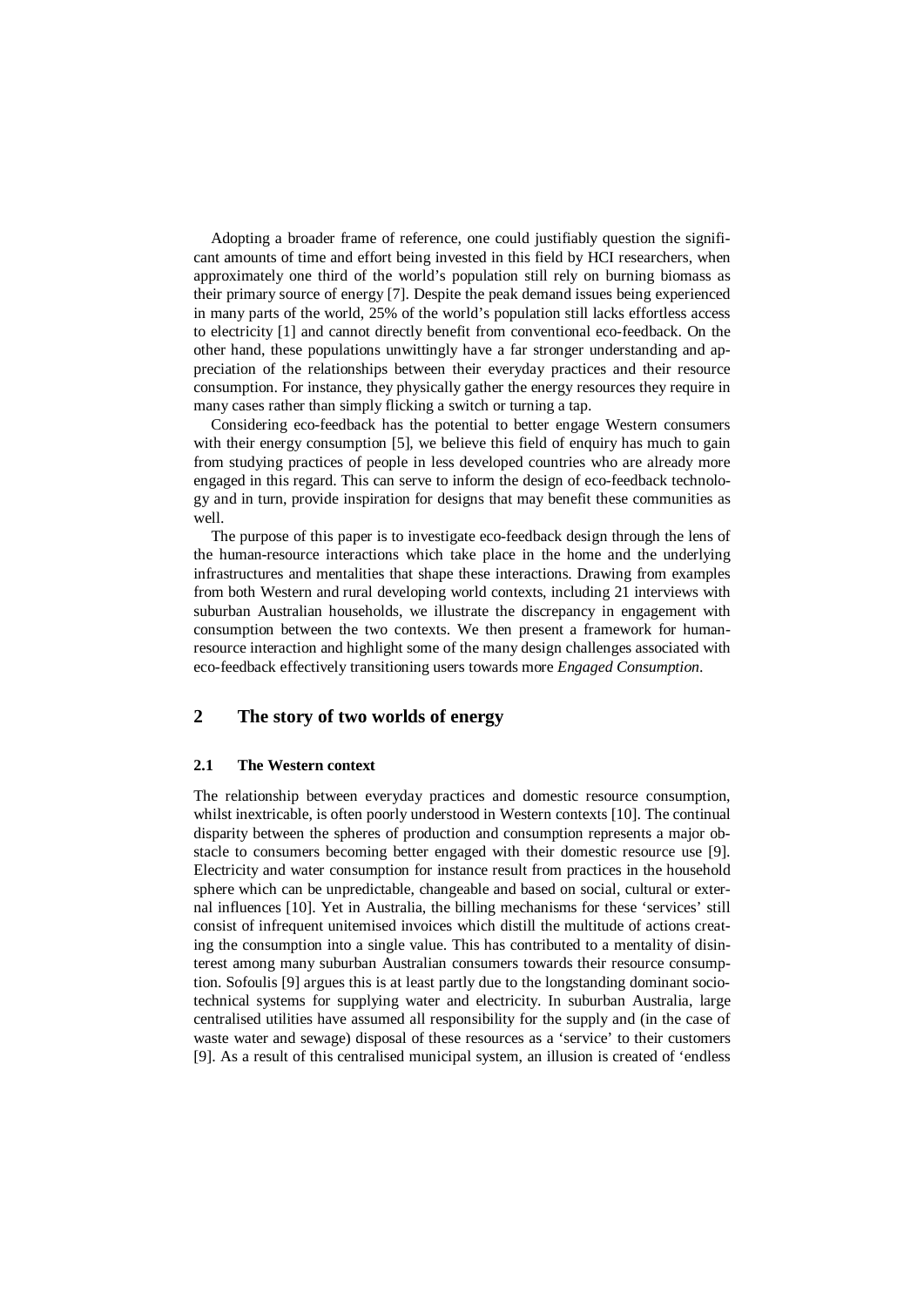Adopting a broader frame of reference, one could justifiably question the significant amounts of time and effort being invested in this field by HCI researchers, when approximately one third of the world's population still rely on burning biomass as their primary source of energy [7]. Despite the peak demand issues being experienced in many parts of the world, 25% of the world's population still lacks effortless access to electricity [1] and cannot directly benefit from conventional eco-feedback. On the other hand, these populations unwittingly have a far stronger understanding and appreciation of the relationships between their everyday practices and their resource consumption. For instance, they physically gather the energy resources they require in many cases rather than simply flicking a switch or turning a tap.

Considering eco-feedback has the potential to better engage Western consumers with their energy consumption [5], we believe this field of enquiry has much to gain from studying practices of people in less developed countries who are already more engaged in this regard. This can serve to inform the design of eco-feedback technology and in turn, provide inspiration for designs that may benefit these communities as well.

The purpose of this paper is to investigate eco-feedback design through the lens of the human-resource interactions which take place in the home and the underlying infrastructures and mentalities that shape these interactions. Drawing from examples from both Western and rural developing world contexts, including 21 interviews with suburban Australian households, we illustrate the discrepancy in engagement with consumption between the two contexts. We then present a framework for humanresource interaction and highlight some of the many design challenges associated with eco-feedback effectively transitioning users towards more *Engaged Consumption*.

# **2 The story of two worlds of energy**

### **2.1 The Western context**

The relationship between everyday practices and domestic resource consumption, whilst inextricable, is often poorly understood in Western contexts [10]. The continual disparity between the spheres of production and consumption represents a major obstacle to consumers becoming better engaged with their domestic resource use [9]. Electricity and water consumption for instance result from practices in the household sphere which can be unpredictable, changeable and based on social, cultural or external influences [10]. Yet in Australia, the billing mechanisms for these 'services' still consist of infrequent unitemised invoices which distill the multitude of actions creating the consumption into a single value. This has contributed to a mentality of disinterest among many suburban Australian consumers towards their resource consumption. Sofoulis [9] argues this is at least partly due to the longstanding dominant sociotechnical systems for supplying water and electricity. In suburban Australia, large centralised utilities have assumed all responsibility for the supply and (in the case of waste water and sewage) disposal of these resources as a 'service' to their customers [9]. As a result of this centralised municipal system, an illusion is created of 'endless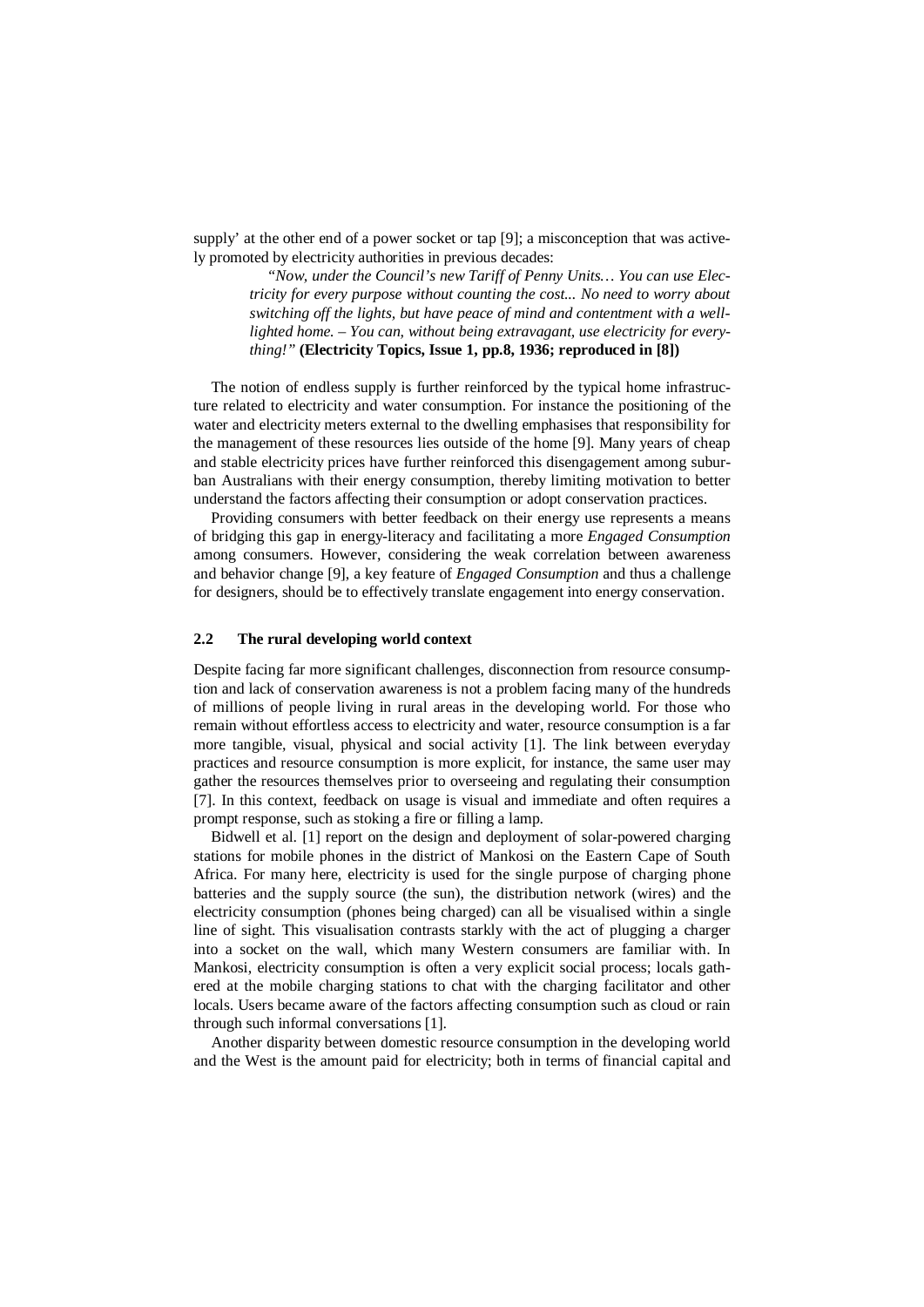supply' at the other end of a power socket or tap [9]; a misconception that was actively promoted by electricity authorities in previous decades:

> *"Now, under the Council's new Tariff of Penny Units… You can use Electricity for every purpose without counting the cost... No need to worry about switching off the lights, but have peace of mind and contentment with a welllighted home. – You can, without being extravagant, use electricity for everything!"* **(Electricity Topics, Issue 1, pp.8, 1936; reproduced in [8])**

The notion of endless supply is further reinforced by the typical home infrastructure related to electricity and water consumption. For instance the positioning of the water and electricity meters external to the dwelling emphasises that responsibility for the management of these resources lies outside of the home [9]. Many years of cheap and stable electricity prices have further reinforced this disengagement among suburban Australians with their energy consumption, thereby limiting motivation to better understand the factors affecting their consumption or adopt conservation practices.

Providing consumers with better feedback on their energy use represents a means of bridging this gap in energy-literacy and facilitating a more *Engaged Consumption*  among consumers. However, considering the weak correlation between awareness and behavior change [9], a key feature of *Engaged Consumption* and thus a challenge for designers, should be to effectively translate engagement into energy conservation.

### **2.2 The rural developing world context**

Despite facing far more significant challenges, disconnection from resource consumption and lack of conservation awareness is not a problem facing many of the hundreds of millions of people living in rural areas in the developing world. For those who remain without effortless access to electricity and water, resource consumption is a far more tangible, visual, physical and social activity [1]. The link between everyday practices and resource consumption is more explicit, for instance, the same user may gather the resources themselves prior to overseeing and regulating their consumption [7]. In this context, feedback on usage is visual and immediate and often requires a prompt response, such as stoking a fire or filling a lamp.

Bidwell et al. [1] report on the design and deployment of solar-powered charging stations for mobile phones in the district of Mankosi on the Eastern Cape of South Africa. For many here, electricity is used for the single purpose of charging phone batteries and the supply source (the sun), the distribution network (wires) and the electricity consumption (phones being charged) can all be visualised within a single line of sight. This visualisation contrasts starkly with the act of plugging a charger into a socket on the wall, which many Western consumers are familiar with. In Mankosi, electricity consumption is often a very explicit social process; locals gathered at the mobile charging stations to chat with the charging facilitator and other locals. Users became aware of the factors affecting consumption such as cloud or rain through such informal conversations [1].

Another disparity between domestic resource consumption in the developing world and the West is the amount paid for electricity; both in terms of financial capital and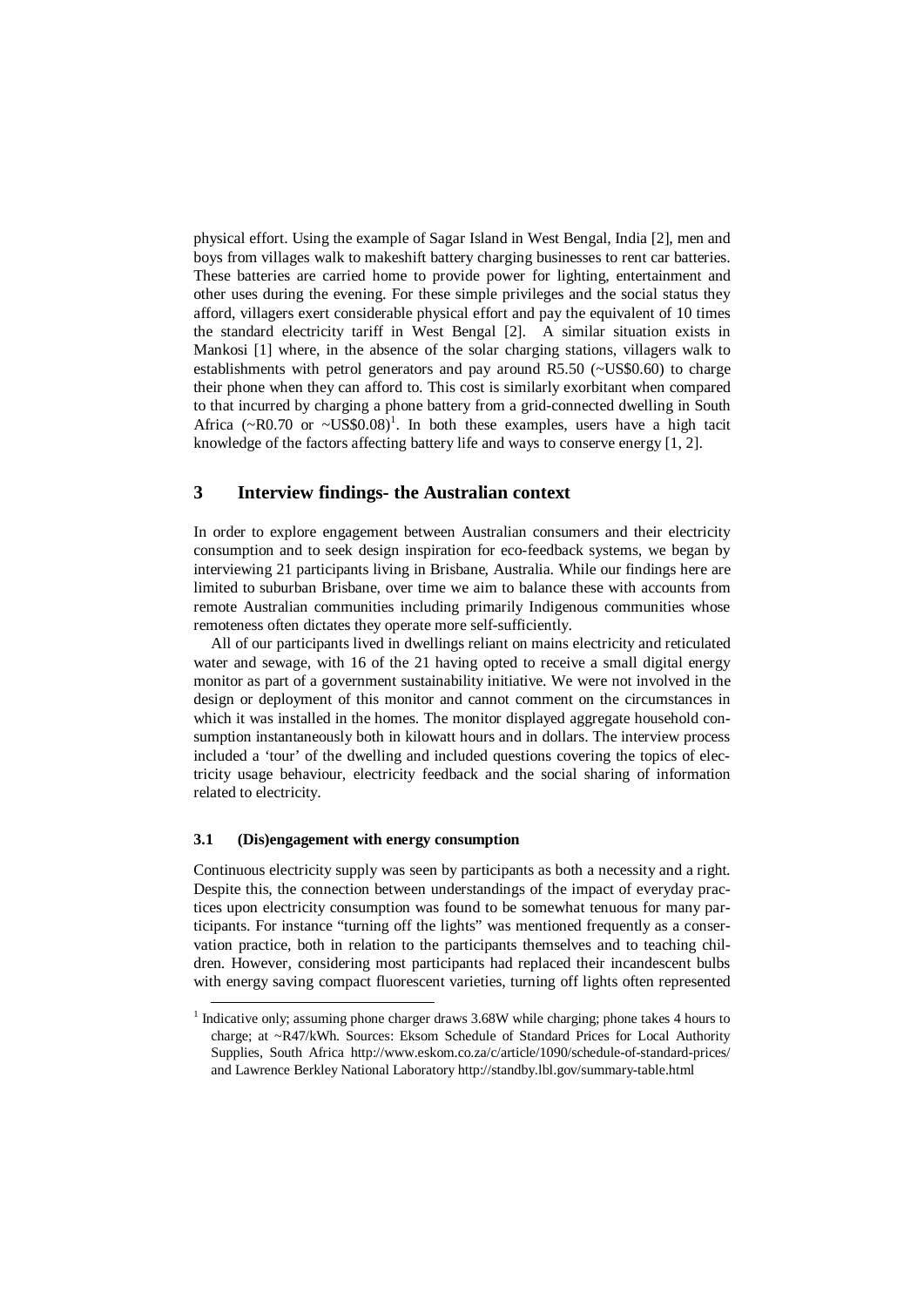physical effort. Using the example of Sagar Island in West Bengal, India [2], men and boys from villages walk to makeshift battery charging businesses to rent car batteries. These batteries are carried home to provide power for lighting, entertainment and other uses during the evening. For these simple privileges and the social status they afford, villagers exert considerable physical effort and pay the equivalent of 10 times the standard electricity tariff in West Bengal [2]. A similar situation exists in Mankosi [1] where, in the absence of the solar charging stations, villagers walk to establishments with petrol generators and pay around  $R5.50$  ( $\sim$ US\$0.60) to charge their phone when they can afford to. This cost is similarly exorbitant when compared to that incurred by charging a phone battery from a grid-connected dwelling in South Africa  $({\sim}R0.70 \text{ or } {\sim}US$0.08)^1$  $({\sim}R0.70 \text{ or } {\sim}US$0.08)^1$ . In both these examples, users have a high tacit knowledge of the factors affecting battery life and ways to conserve energy [1, 2].

### **3 Interview findings- the Australian context**

In order to explore engagement between Australian consumers and their electricity consumption and to seek design inspiration for eco-feedback systems, we began by interviewing 21 participants living in Brisbane, Australia. While our findings here are limited to suburban Brisbane, over time we aim to balance these with accounts from remote Australian communities including primarily Indigenous communities whose remoteness often dictates they operate more self-sufficiently.

All of our participants lived in dwellings reliant on mains electricity and reticulated water and sewage, with 16 of the 21 having opted to receive a small digital energy monitor as part of a government sustainability initiative. We were not involved in the design or deployment of this monitor and cannot comment on the circumstances in which it was installed in the homes. The monitor displayed aggregate household consumption instantaneously both in kilowatt hours and in dollars. The interview process included a 'tour' of the dwelling and included questions covering the topics of electricity usage behaviour, electricity feedback and the social sharing of information related to electricity.

#### **3.1 (Dis)engagement with energy consumption**

Continuous electricity supply was seen by participants as both a necessity and a right. Despite this, the connection between understandings of the impact of everyday practices upon electricity consumption was found to be somewhat tenuous for many participants. For instance "turning off the lights" was mentioned frequently as a conservation practice, both in relation to the participants themselves and to teaching children. However, considering most participants had replaced their incandescent bulbs with energy saving compact fluorescent varieties, turning off lights often represented

<span id="page-3-0"></span> $1$  Indicative only; assuming phone charger draws 3.68W while charging; phone takes 4 hours to charge; at ~R47/kWh. Sources: Eksom Schedule of Standard Prices for Local Authority Supplies, South Africa<http://www.eskom.co.za/c/article/1090/schedule-of-standard-prices/> and Lawrence Berkley National Laboratory http://standby.lbl.gov/summary-table.html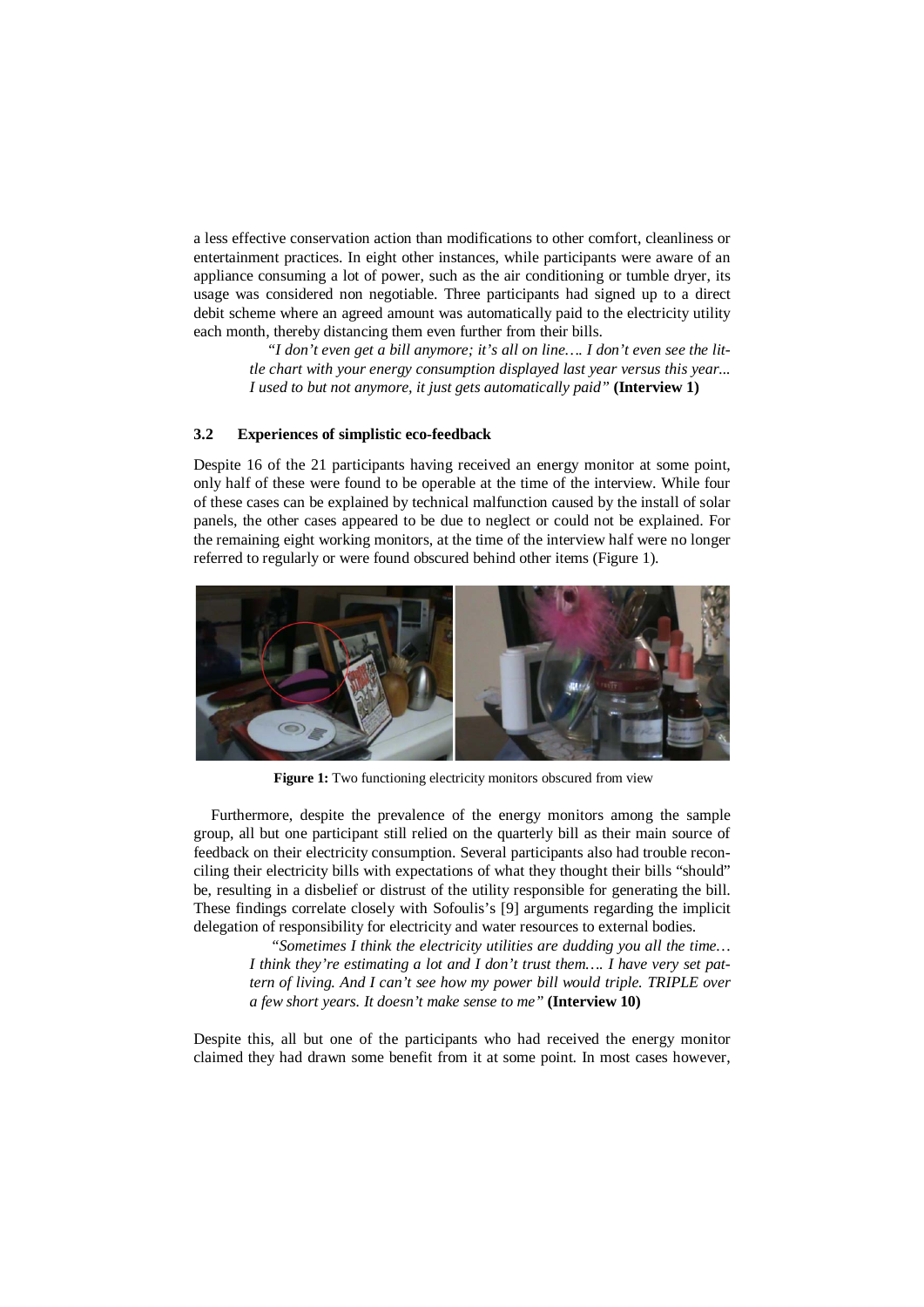a less effective conservation action than modifications to other comfort, cleanliness or entertainment practices. In eight other instances, while participants were aware of an appliance consuming a lot of power, such as the air conditioning or tumble dryer, its usage was considered non negotiable. Three participants had signed up to a direct debit scheme where an agreed amount was automatically paid to the electricity utility each month, thereby distancing them even further from their bills.

*"I don't even get a bill anymore; it's all on line…. I don't even see the little chart with your energy consumption displayed last year versus this year... I used to but not anymore, it just gets automatically paid"* **(Interview 1)**

### **3.2 Experiences of simplistic eco-feedback**

Despite 16 of the 21 participants having received an energy monitor at some point, only half of these were found to be operable at the time of the interview. While four of these cases can be explained by technical malfunction caused by the install of solar panels, the other cases appeared to be due to neglect or could not be explained. For the remaining eight working monitors, at the time of the interview half were no longer referred to regularly or were found obscured behind other items (Figure 1).



**Figure 1:** Two functioning electricity monitors obscured from view

Furthermore, despite the prevalence of the energy monitors among the sample group, all but one participant still relied on the quarterly bill as their main source of feedback on their electricity consumption. Several participants also had trouble reconciling their electricity bills with expectations of what they thought their bills "should" be, resulting in a disbelief or distrust of the utility responsible for generating the bill. These findings correlate closely with Sofoulis's [9] arguments regarding the implicit delegation of responsibility for electricity and water resources to external bodies.

> *"Sometimes I think the electricity utilities are dudding you all the time… I think they're estimating a lot and I don't trust them…. I have very set pattern of living. And I can't see how my power bill would triple. TRIPLE over a few short years. It doesn't make sense to me"* **(Interview 10)**

Despite this, all but one of the participants who had received the energy monitor claimed they had drawn some benefit from it at some point. In most cases however,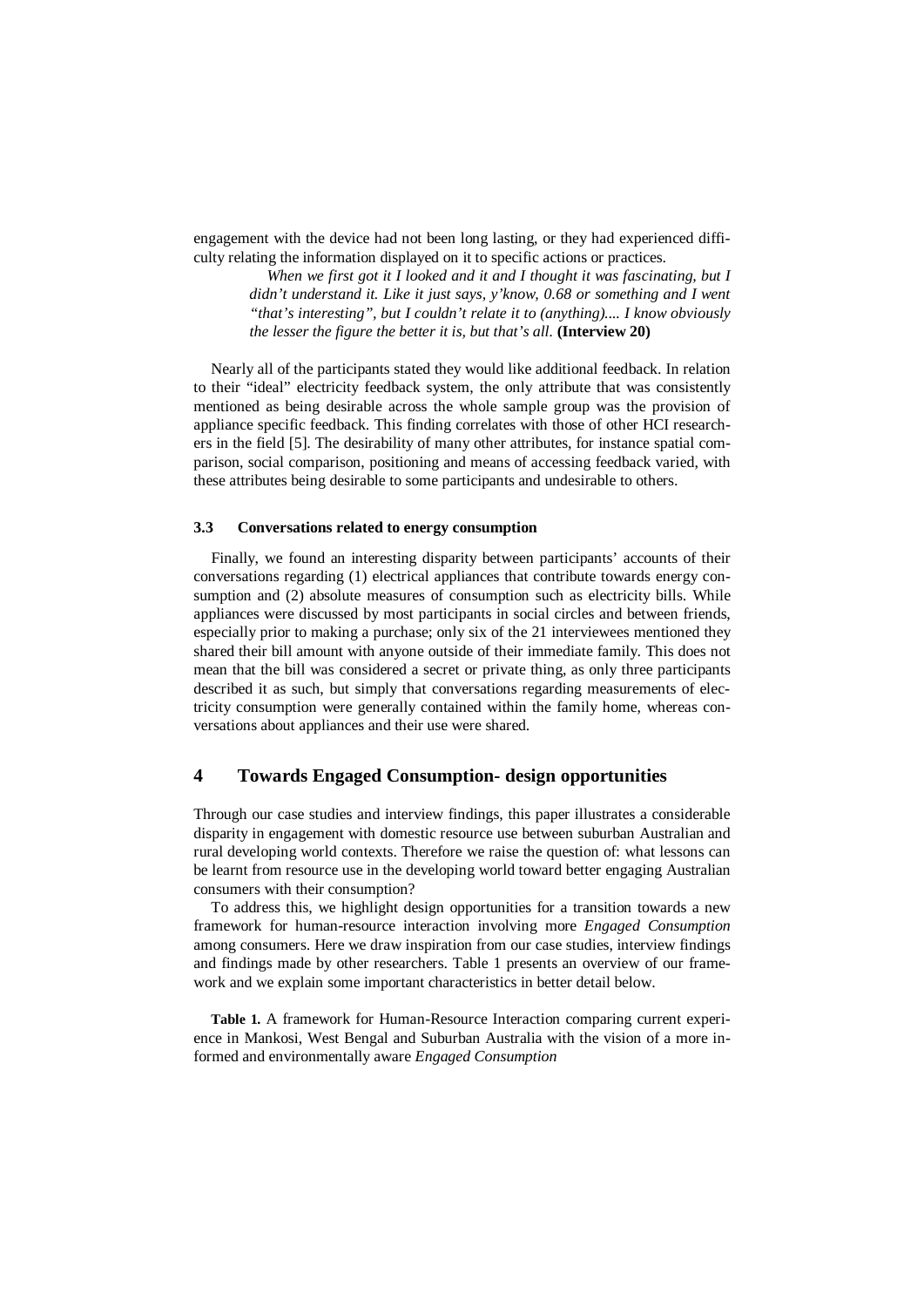engagement with the device had not been long lasting, or they had experienced difficulty relating the information displayed on it to specific actions or practices.

> *When we first got it I looked and it and I thought it was fascinating, but I didn't understand it. Like it just says, y'know, 0.68 or something and I went "that's interesting", but I couldn't relate it to (anything).... I know obviously the lesser the figure the better it is, but that's all.* **(Interview 20)**

Nearly all of the participants stated they would like additional feedback. In relation to their "ideal" electricity feedback system, the only attribute that was consistently mentioned as being desirable across the whole sample group was the provision of appliance specific feedback. This finding correlates with those of other HCI researchers in the field [5]. The desirability of many other attributes, for instance spatial comparison, social comparison, positioning and means of accessing feedback varied, with these attributes being desirable to some participants and undesirable to others.

#### **3.3 Conversations related to energy consumption**

Finally, we found an interesting disparity between participants' accounts of their conversations regarding (1) electrical appliances that contribute towards energy consumption and (2) absolute measures of consumption such as electricity bills. While appliances were discussed by most participants in social circles and between friends, especially prior to making a purchase; only six of the 21 interviewees mentioned they shared their bill amount with anyone outside of their immediate family. This does not mean that the bill was considered a secret or private thing, as only three participants described it as such, but simply that conversations regarding measurements of electricity consumption were generally contained within the family home, whereas conversations about appliances and their use were shared.

# **4 Towards Engaged Consumption- design opportunities**

Through our case studies and interview findings, this paper illustrates a considerable disparity in engagement with domestic resource use between suburban Australian and rural developing world contexts. Therefore we raise the question of: what lessons can be learnt from resource use in the developing world toward better engaging Australian consumers with their consumption?

To address this, we highlight design opportunities for a transition towards a new framework for human-resource interaction involving more *Engaged Consumption* among consumers. Here we draw inspiration from our case studies, interview findings and findings made by other researchers. Table 1 presents an overview of our framework and we explain some important characteristics in better detail below.

**Table 1.** A framework for Human-Resource Interaction comparing current experience in Mankosi, West Bengal and Suburban Australia with the vision of a more informed and environmentally aware *Engaged Consumption*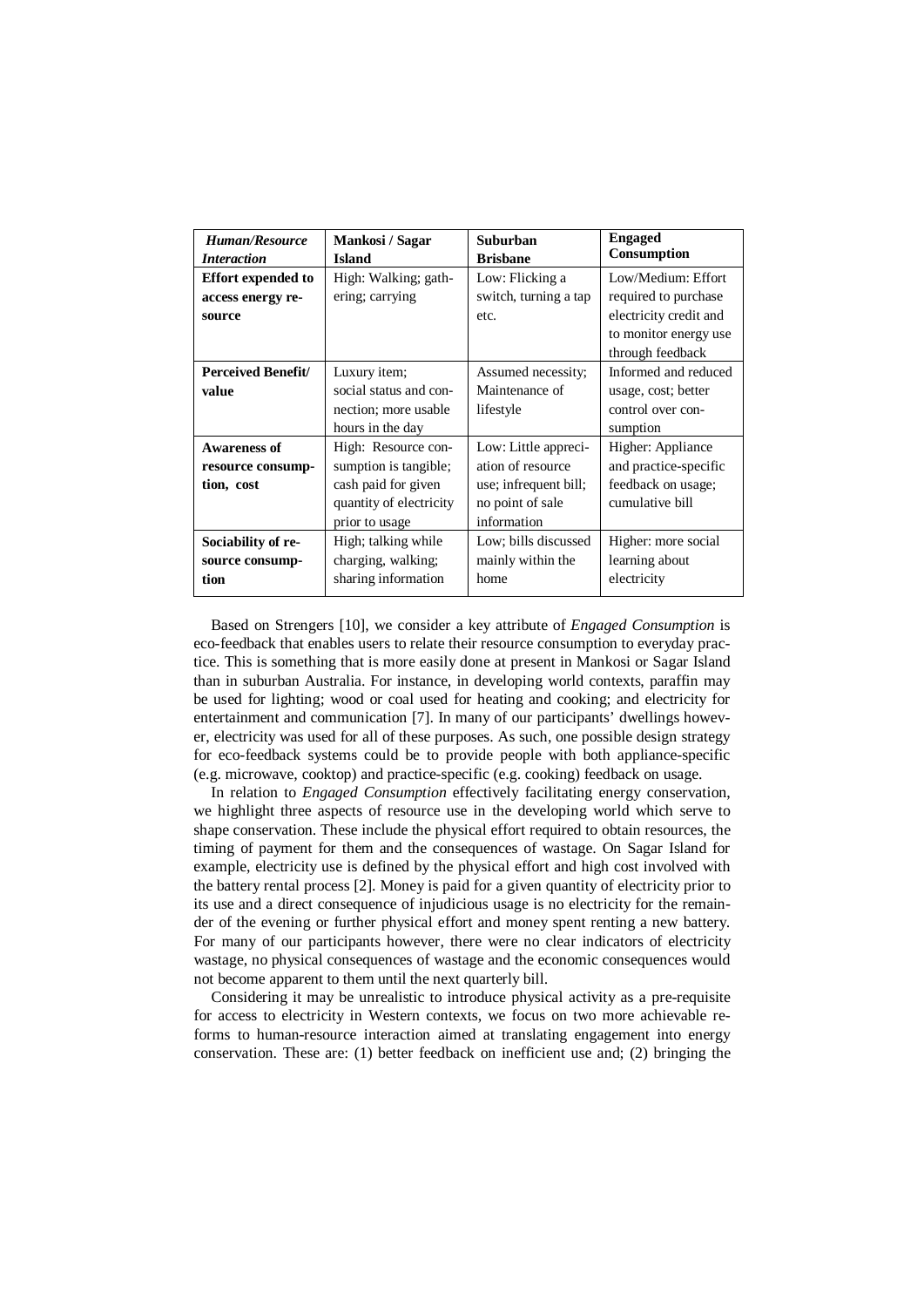| Human/Resource            | Mankosi / Sagar         | Suburban              | <b>Engaged</b><br>Consumption |
|---------------------------|-------------------------|-----------------------|-------------------------------|
| <b>Interaction</b>        | <b>Island</b>           | <b>Brisbane</b>       |                               |
| <b>Effort expended to</b> | High: Walking; gath-    | Low: Flicking a       | Low/Medium: Effort            |
| access energy re-         | ering; carrying         | switch, turning a tap | required to purchase          |
| source                    |                         | etc.                  | electricity credit and        |
|                           |                         |                       | to monitor energy use         |
|                           |                         |                       | through feedback              |
| <b>Perceived Benefit/</b> | Luxury item;            | Assumed necessity;    | Informed and reduced          |
| value                     | social status and con-  | Maintenance of        | usage, cost; better           |
|                           | nection; more usable    | lifestyle             | control over con-             |
|                           | hours in the day        |                       | sumption                      |
| <b>Awareness of</b>       | High: Resource con-     | Low: Little appreci-  | Higher: Appliance             |
| resource consump-         | sumption is tangible;   | ation of resource     | and practice-specific         |
| tion, cost                | cash paid for given     | use; infrequent bill; | feedback on usage;            |
|                           | quantity of electricity | no point of sale      | cumulative bill               |
|                           | prior to usage          | information           |                               |
| Sociability of re-        | High; talking while     | Low; bills discussed  | Higher: more social           |
| source consump-           | charging, walking;      | mainly within the     | learning about                |
| tion                      | sharing information     | home                  | electricity                   |

Based on Strengers [10], we consider a key attribute of *Engaged Consumption* is eco-feedback that enables users to relate their resource consumption to everyday practice. This is something that is more easily done at present in Mankosi or Sagar Island than in suburban Australia. For instance, in developing world contexts, paraffin may be used for lighting; wood or coal used for heating and cooking; and electricity for entertainment and communication [7]. In many of our participants' dwellings however, electricity was used for all of these purposes. As such, one possible design strategy for eco-feedback systems could be to provide people with both appliance-specific (e.g. microwave, cooktop) and practice-specific (e.g. cooking) feedback on usage.

In relation to *Engaged Consumption* effectively facilitating energy conservation, we highlight three aspects of resource use in the developing world which serve to shape conservation. These include the physical effort required to obtain resources, the timing of payment for them and the consequences of wastage. On Sagar Island for example, electricity use is defined by the physical effort and high cost involved with the battery rental process [2]. Money is paid for a given quantity of electricity prior to its use and a direct consequence of injudicious usage is no electricity for the remainder of the evening or further physical effort and money spent renting a new battery. For many of our participants however, there were no clear indicators of electricity wastage, no physical consequences of wastage and the economic consequences would not become apparent to them until the next quarterly bill.

Considering it may be unrealistic to introduce physical activity as a pre-requisite for access to electricity in Western contexts, we focus on two more achievable reforms to human-resource interaction aimed at translating engagement into energy conservation. These are: (1) better feedback on inefficient use and; (2) bringing the